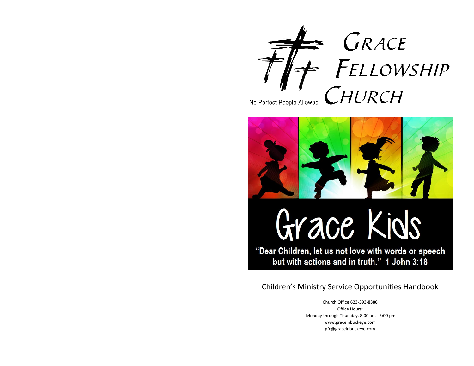



# Grace Kids

"Dear Children, let us not love with words or speech but with actions and in truth." 1 John 3:18

## Children's Ministry Service Opportunities Handbook

Church Office 623-393-8386 Office Hours: Monday through Thursday, 8:00 am - 3:00 pm www.graceinbuckeye.com gfc@graceinbuckeye.com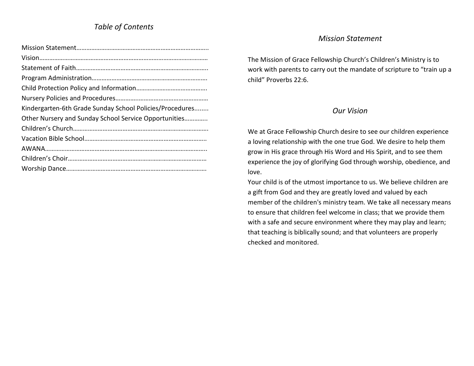## *Table of Contents*

| Kindergarten-6th Grade Sunday School Policies/Procedures |
|----------------------------------------------------------|
| Other Nursery and Sunday School Service Opportunities    |
|                                                          |
|                                                          |
|                                                          |
|                                                          |
|                                                          |

#### *Mission Statement*

The Mission of Grace Fellowship Church's Children's Ministry is to work with parents to carry out the mandate of scripture to "train up a child" Proverbs 22:6.

#### *Our Vision*

We at Grace Fellowship Church desire to see our children experience a loving relationship with the one true God. We desire to help them grow in His grace through His Word and His Spirit, and to see them experience the joy of glorifying God through worship, obedience, and love.

Your child is of the utmost importance to us. We believe children are a gift from God and they are greatly loved and valued by each member of the children's ministry team. We take all necessary means to ensure that children feel welcome in class; that we provide them with a safe and secure environment where they may play and learn; that teaching is biblically sound; and that volunteers are properly checked and monitored.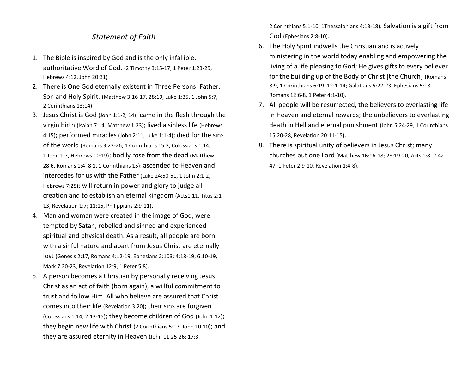#### *Statement of Faith*

- 1. The Bible is inspired by God and is the only infallible, authoritative Word of God. (2 Timothy 3:15-17, 1 Peter 1:23-25, Hebrews 4:12, John 20:31)
- 2. There is One God eternally existent in Three Persons: Father, Son and Holy Spirit. (Matthew 3:16-17, 28:19, Luke 1:35, 1 John 5:7, 2 Corinthians 13:14)
- 3. Jesus Christ is God (John 1:1-2, 14); came in the flesh through the virgin birth (Isaiah 7:14, Matthew 1:23); lived a sinless life (Hebrews 4:15); performed miracles (John 2:11, Luke 1:1-4); died for the sins of the world (Romans 3:23-26, 1 Corinthians 15:3, Colossians 1:14, 1 John 1:7, Hebrews 10:19); bodily rose from the dead (Matthew 28:6, Romans 1:4; 8:1, 1 Corinthians 15); ascended to Heaven and intercedes for us with the Father (Luke 24:50-51, 1 John 2:1-2, Hebrews 7:25); will return in power and glory to judge all creation and to establish an eternal kingdom (Acts1:11, Titus 2:1- 13, Revelation 1:7; 11:15, Philippians 2:9-11).
- 4. Man and woman were created in the image of God, were tempted by Satan, rebelled and sinned and experienced spiritual and physical death. As a result, all people are born with a sinful nature and apart from Jesus Christ are eternally lost (Genesis 2:17, Romans 4:12-19, Ephesians 2:103; 4:18-19; 6:10-19, Mark 7:20-23, Revelation 12:9, 1 Peter 5:8).
- 5. A person becomes a Christian by personally receiving Jesus Christ as an act of faith (born again), a willful commitment to trust and follow Him. All who believe are assured that Christ comes into their life (Revelation 3:20); their sins are forgiven (Colossians 1:14; 2:13-15); they become children of God (John 1:12); they begin new life with Christ (2 Corinthians 5:17, John 10:10); and they are assured eternity in Heaven (John 11:25-26; 17:3,

2 Corinthians 5:1-10, 1Thessalonians 4:13-18). Salvation is a gift from God (Ephesians 2:8-10).

- 6. The Holy Spirit indwells the Christian and is actively ministering in the world today enabling and empowering the living of a life pleasing to God; He gives gifts to every believer for the building up of the Body of Christ [the Church] (Romans 8:9, 1 Corinthians 6:19; 12:1-14; Galatians 5:22-23, Ephesians 5:18, Romans 12:6-8, 1 Peter 4:1-10).
- 7. All people will be resurrected, the believers to everlasting life in Heaven and eternal rewards; the unbelievers to everlasting death in Hell and eternal punishment (John 5:24-29, 1 Corinthians 15:20-28, Revelation 20:11-15).
- 8. There is spiritual unity of believers in Jesus Christ; many churches but one Lord (Matthew 16:16-18; 28:19-20, Acts 1:8; 2:42- 47, 1 Peter 2:9-10, Revelation 1:4-8).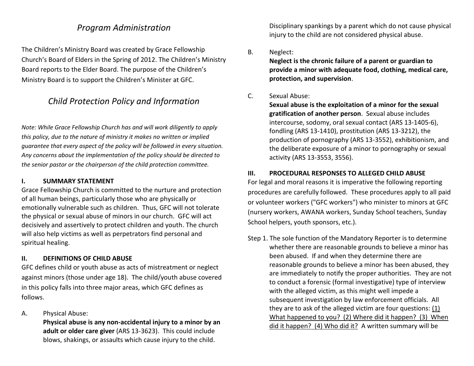## *Program Administration*

The Children's Ministry Board was created by Grace Fellowship Church's Board of Elders in the Spring of 2012. The Children's Ministry Board reports to the Elder Board. The purpose of the Children's Ministry Board is to support the Children's Minister at GFC.

## *Child Protection Policy and Information*

*Note: While Grace Fellowship Church has and will work diligently to apply this policy, due to the nature of ministry it makes no written or implied guarantee that every aspect of the policy will be followed in every situation. Any concerns about the implementation of the policy should be directed to the senior pastor or the chairperson of the child protection committee.*

#### **I. SUMMARY STATEMENT**

Grace Fellowship Church is committed to the nurture and protection of all human beings, particularly those who are physically or emotionally vulnerable such as children. Thus, GFC will not tolerate the physical or sexual abuse of minors in our church. GFC will act decisively and assertively to protect children and youth. The church will also help victims as well as perpetrators find personal and spiritual healing.

#### **II. DEFINITIONS OF CHILD ABUSE**

GFC defines child or youth abuse as acts of mistreatment or neglect against minors (those under age 18). The child/youth abuse covered in this policy falls into three major areas, which GFC defines as follows.

A. Physical Abuse:

**Physical abuse is any non-accidental injury to a minor by an adult or older care giver** (ARS 13-3623). This could include blows, shakings, or assaults which cause injury to the child.

Disciplinary spankings by a parent which do not cause physical injury to the child are not considered physical abuse.

B. Neglect:

**Neglect is the chronic failure of a parent or guardian to provide a minor with adequate food, clothing, medical care, protection, and supervision**.

#### C. Sexual Abuse:

**Sexual abuse is the exploitation of a minor for the sexual gratification of another person**. Sexual abuse includes intercourse, sodomy, oral sexual contact (ARS 13-1405-6), fondling (ARS 13-1410), prostitution (ARS 13-3212), the production of pornography (ARS 13-3552), exhibitionism, and the deliberate exposure of a minor to pornography or sexual activity (ARS 13-3553, 3556).

#### **III. PROCEDURAL RESPONSES TO ALLEGED CHILD ABUSE**

For legal and moral reasons it is imperative the following reporting procedures are carefully followed. These procedures apply to all paid or volunteer workers ("GFC workers") who minister to minors at GFC (nursery workers, AWANA workers, Sunday School teachers, Sunday School helpers, youth sponsors, etc.).

Step 1. The sole function of the Mandatory Reporter is to determine whether there are reasonable grounds to believe a minor has been abused. If and when they determine there are reasonable grounds to believe a minor has been abused, they are immediately to notify the proper authorities. They are not to conduct a forensic (formal investigative) type of interview with the alleged victim, as this might well impede a subsequent investigation by law enforcement officials. All they are to ask of the alleged victim are four questions: (1) What happened to you? (2) Where did it happen? (3) When did it happen? (4) Who did it? A written summary will be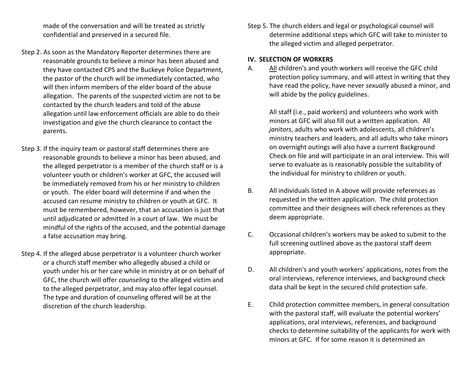made of the conversation and will be treated as strictly confidential and preserved in a secured file.

- Step 2. As soon as the Mandatory Reporter determines there are reasonable grounds to believe a minor has been abused and they have contacted CPS and the Buckeye Police Department, the pastor of the church will be immediately contacted, who will then inform members of the elder board of the abuse allegation. The parents of the suspected victim are not to be contacted by the church leaders and told of the abuse allegation until law enforcement officials are able to do their investigation and give the church clearance to contact the parents.
- Step 3. If the inquiry team or pastoral staff determines there are reasonable grounds to believe a minor has been abused, and the alleged perpetrator is a member of the church staff or is a volunteer youth or children's worker at GFC, the accused will be immediately removed from his or her ministry to children or youth. The elder board will determine if and when the accused can resume ministry to children or youth at GFC. It must be remembered, however, that an accusation is just that until adjudicated or admitted in a court of law. We must be mindful of the rights of the accused, and the potential damage a false accusation may bring.
- Step 4. If the alleged abuse perpetrator is a volunteer church worker or a church staff member who allegedly abused a child or youth under his or her care while in ministry at or on behalf of GFC, the church will offer *counseling* to the alleged victim and to the alleged perpetrator, and may also offer legal counsel. The type and duration of counseling offered will be at the discretion of the church leadership.

Step 5. The church elders and legal or psychological counsel will determine additional steps which GFC will take to minister to the alleged victim and alleged perpetrator.

#### **IV. SELECTION OF WORKERS**

A. All children's and youth workers will receive the GFC child protection policy summary, and will attest in writing that they have read the policy, have never *sexually* abused a minor, and will abide by the policy guidelines.

All staff (i.e., paid workers) and volunteers who work with minors at GFC will also fill out a written application. All *janitors*, adults who work with adolescents, all children's ministry teachers and leaders, and all adults who take minors on overnight outings will also have a current Background Check on file and will participate in an oral interview. This will serve to evaluate as is reasonably possible the suitability of the individual for ministry to children or youth.

- B. All individuals listed in A above will provide references as requested in the written application. The child protection committee and their designees will check references as they deem appropriate.
- C. Occasional children's workers may be asked to submit to the full screening outlined above as the pastoral staff deem appropriate.
- D. All children's and youth workers' applications, notes from the oral interviews, reference interviews, and background check data shall be kept in the secured child protection safe.
- E. Child protection committee members, in general consultation with the pastoral staff, will evaluate the potential workers' applications, oral interviews, references, and background checks to determine suitability of the applicants for work with minors at GFC. If for some reason it is determined an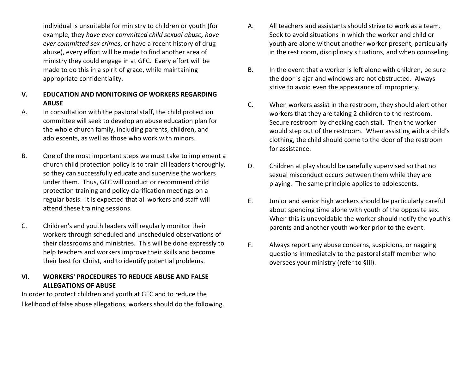individual is unsuitable for ministry to children or youth (for example, they *have ever committed child sexual abuse, have ever committed sex crimes*, or have a recent history of drug abuse), every effort will be made to find another area of ministry they could engage in at GFC. Every effort will be made to do this in a spirit of grace, while maintaining appropriate confidentiality.

- **V. EDUCATION AND MONITORING OF WORKERS REGARDING ABUSE**
- A. In consultation with the pastoral staff, the child protection committee will seek to develop an abuse education plan for the whole church family, including parents, children, and adolescents, as well as those who work with minors.
- B. One of the most important steps we must take to implement a church child protection policy is to train all leaders thoroughly, so they can successfully educate and supervise the workers under them. Thus, GFC will conduct or recommend child protection training and policy clarification meetings on a regular basis. It is expected that all workers and staff will attend these training sessions.
- C. Children's and youth leaders will regularly monitor their workers through scheduled and unscheduled observations of their classrooms and ministries. This will be done expressly to help teachers and workers improve their skills and become their best for Christ, and to identify potential problems.

#### **VI. WORKERS' PROCEDURES TO REDUCE ABUSE AND FALSE ALLEGATIONS OF ABUSE**

In order to protect children and youth at GFC and to reduce the likelihood of false abuse allegations, workers should do the following.

- A. All teachers and assistants should strive to work as a team. Seek to avoid situations in which the worker and child or youth are alone without another worker present, particularly in the rest room, disciplinary situations, and when counseling.
- B. In the event that a worker is left alone with children, be sure the door is ajar and windows are not obstructed. Always strive to avoid even the appearance of impropriety.
- C. When workers assist in the restroom, they should alert other workers that they are taking 2 children to the restroom. Secure restroom by checking each stall. Then the worker would step out of the restroom. When assisting with a child's clothing, the child should come to the door of the restroom for assistance.
- D. Children at play should be carefully supervised so that no sexual misconduct occurs between them while they are playing. The same principle applies to adolescents.
- E. Junior and senior high workers should be particularly careful about spending time alone with youth of the opposite sex. When this is unavoidable the worker should notify the youth's parents and another youth worker prior to the event.
- F. Always report any abuse concerns, suspicions, or nagging questions immediately to the pastoral staff member who oversees your ministry (refer to §III).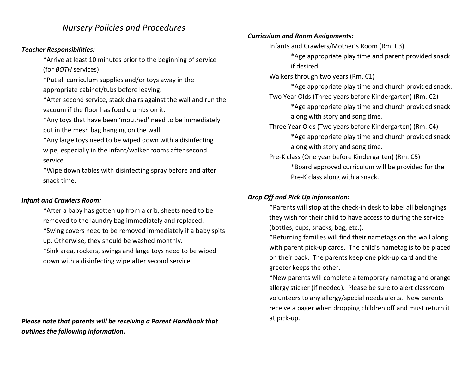## *Nursery Policies and Procedures*

#### *Teacher Responsibilities:*

\*Arrive at least 10 minutes prior to the beginning of service (for *BOTH* services).

\*Put all curriculum supplies and/or toys away in the appropriate cabinet/tubs before leaving.

\*After second service, stack chairs against the wall and run the vacuum if the floor has food crumbs on it.

\*Any toys that have been 'mouthed' need to be immediately put in the mesh bag hanging on the wall.

\*Any large toys need to be wiped down with a disinfecting wipe, especially in the infant/walker rooms after second service.

\*Wipe down tables with disinfecting spray before and after snack time.

#### *Infant and Crawlers Room:*

\*After a baby has gotten up from a crib, sheets need to be removed to the laundry bag immediately and replaced. \*Swing covers need to be removed immediately if a baby spits up. Otherwise, they should be washed monthly.

\*Sink area, rockers, swings and large toys need to be wiped down with a disinfecting wipe after second service.

*Please note that parents will be receiving a Parent Handbook that outlines the following information.*

#### *Curriculum and Room Assignments:*

Infants and Crawlers/Mother's Room (Rm. C3)

\*Age appropriate play time and parent provided snack if desired.

Walkers through two years (Rm. C1)

\*Age appropriate play time and church provided snack. Two Year Olds (Three years before Kindergarten) (Rm. C2)

> \*Age appropriate play time and church provided snack along with story and song time.

Three Year Olds (Two years before Kindergarten) (Rm. C4)

\*Age appropriate play time and church provided snack along with story and song time.

Pre-K class (One year before Kindergarten) (Rm. C5)

\*Board approved curriculum will be provided for the Pre-K class along with a snack.

#### *Drop Off and Pick Up Information:*

\*Parents will stop at the check-in desk to label all belongings they wish for their child to have access to during the service (bottles, cups, snacks, bag, etc.).

\*Returning families will find their nametags on the wall along with parent pick-up cards. The child's nametag is to be placed on their back. The parents keep one pick-up card and the greeter keeps the other.

\*New parents will complete a temporary nametag and orange allergy sticker (if needed). Please be sure to alert classroom volunteers to any allergy/special needs alerts. New parents receive a pager when dropping children off and must return it at pick-up.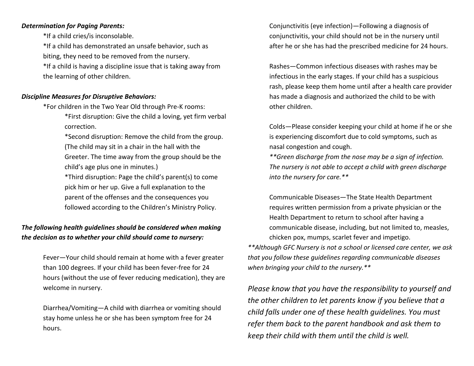#### *Determination for Paging Parents:*

\*If a child cries/is inconsolable.

\*If a child has demonstrated an unsafe behavior, such as biting, they need to be removed from the nursery.

\*If a child is having a discipline issue that is taking away from the learning of other children.

#### *Discipline Measures for Disruptive Behaviors:*

\*For children in the Two Year Old through Pre-K rooms:

\*First disruption: Give the child a loving, yet firm verbal correction.

\*Second disruption: Remove the child from the group. (The child may sit in a chair in the hall with the Greeter. The time away from the group should be the child's age plus one in minutes.)

\*Third disruption: Page the child's parent(s) to come pick him or her up. Give a full explanation to the parent of the offenses and the consequences you followed according to the Children's Ministry Policy.

### *The following health guidelines should be considered when making the decision as to whether your child should come to nursery:*

Fever—Your child should remain at home with a fever greater than 100 degrees. If your child has been fever-free for 24 hours (without the use of fever reducing medication), they are welcome in nursery.

Diarrhea/Vomiting—A child with diarrhea or vomiting should stay home unless he or she has been symptom free for 24 hours.

Conjunctivitis (eye infection)—Following a diagnosis of conjunctivitis, your child should not be in the nursery until after he or she has had the prescribed medicine for 24 hours.

Rashes—Common infectious diseases with rashes may be infectious in the early stages. If your child has a suspicious rash, please keep them home until after a health care provider has made a diagnosis and authorized the child to be with other children.

Colds—Please consider keeping your child at home if he or she is experiencing discomfort due to cold symptoms, such as nasal congestion and cough.

*\*\*Green discharge from the nose may be a sign of infection. The nursery is not able to accept a child with green discharge into the nursery for care.\*\**

Communicable Diseases—The State Health Department requires written permission from a private physician or the Health Department to return to school after having a communicable disease, including, but not limited to, measles, chicken pox, mumps, scarlet fever and impetigo.

*\*\*Although GFC Nursery is not a school or licensed care center, we ask that you follow these guidelines regarding communicable diseases when bringing your child to the nursery.\*\**

*Please know that you have the responsibility to yourself and the other children to let parents know if you believe that a child falls under one of these health guidelines. You must refer them back to the parent handbook and ask them to keep their child with them until the child is well.*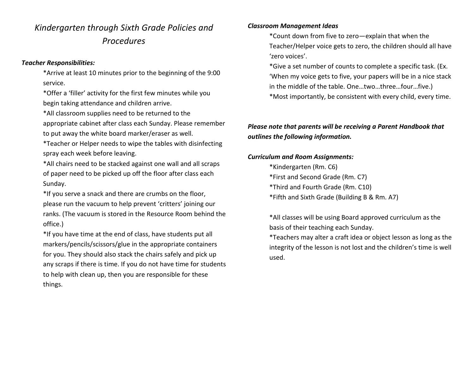## *Kindergarten through Sixth Grade Policies and Procedures*

#### *Teacher Responsibilities:*

\*Arrive at least 10 minutes prior to the beginning of the 9:00 service.

\*Offer a 'filler' activity for the first few minutes while you begin taking attendance and children arrive.

\*All classroom supplies need to be returned to the appropriate cabinet after class each Sunday. Please remember to put away the white board marker/eraser as well.

\*Teacher or Helper needs to wipe the tables with disinfecting spray each week before leaving.

\*All chairs need to be stacked against one wall and all scraps of paper need to be picked up off the floor after class each Sunday.

\*If you serve a snack and there are crumbs on the floor, please run the vacuum to help prevent 'critters' joining our ranks. (The vacuum is stored in the Resource Room behind the office.)

\*If you have time at the end of class, have students put all markers/pencils/scissors/glue in the appropriate containers for you. They should also stack the chairs safely and pick up any scraps if there is time. If you do not have time for students to help with clean up, then you are responsible for these things.

#### *Classroom Management Ideas*

\*Count down from five to zero—explain that when the Teacher/Helper voice gets to zero, the children should all have 'zero voices'.

- \*Give a set number of counts to complete a specific task. (Ex. 'When my voice gets to five, your papers will be in a nice stack in the middle of the table. One…two…three…four…five.)
- \*Most importantly, be consistent with every child, every time.

## *Please note that parents will be receiving a Parent Handbook that outlines the following information.*

#### *Curriculum and Room Assignments:*

\*Kindergarten (Rm. C6) \*First and Second Grade (Rm. C7) \*Third and Fourth Grade (Rm. C10) \*Fifth and Sixth Grade (Building B & Rm. A7)

\*All classes will be using Board approved curriculum as the basis of their teaching each Sunday.

\*Teachers may alter a craft idea or object lesson as long as the integrity of the lesson is not lost and the children's time is well used.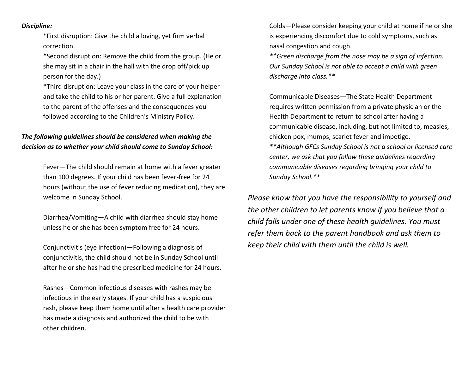*Discipline:*

\*First disruption: Give the child a loving, yet firm verbal correction.

\*Second disruption: Remove the child from the group. (He or she may sit in a chair in the hall with the drop off/pick up person for the day.)

\*Third disruption: Leave your class in the care of your helper and take the child to his or her parent. Give a full explanation to the parent of the offenses and the consequences you followed according to the Children's Ministry Policy.

## *The following guidelines should be considered when making the decision as to whether your child should come to Sunday School:*

Fever—The child should remain at home with a fever greater than 100 degrees. If your child has been fever-free for 24 hours (without the use of fever reducing medication), they are welcome in Sunday School.

Diarrhea/Vomiting—A child with diarrhea should stay home unless he or she has been symptom free for 24 hours.

Conjunctivitis (eye infection)—Following a diagnosis of conjunctivitis, the child should not be in Sunday School until after he or she has had the prescribed medicine for 24 hours.

Rashes—Common infectious diseases with rashes may be infectious in the early stages. If your child has a suspicious rash, please keep them home until after a health care provider has made a diagnosis and authorized the child to be with other children.

Colds—Please consider keeping your child at home if he or she is experiencing discomfort due to cold symptoms, such as nasal congestion and cough.

*\*\*Green discharge from the nose may be a sign of infection. Our Sunday School is not able to accept a child with green discharge into class.\*\**

Communicable Diseases—The State Health Department requires written permission from a private physician or the Health Department to return to school after having a communicable disease, including, but not limited to, measles, chicken pox, mumps, scarlet fever and impetigo.

*\*\*Although GFCs Sunday School is not a school or licensed care center, we ask that you follow these guidelines regarding communicable diseases regarding bringing your child to Sunday School.\*\**

*Please know that you have the responsibility to yourself and the other children to let parents know if you believe that a child falls under one of these health guidelines. You must refer them back to the parent handbook and ask them to keep their child with them until the child is well.*